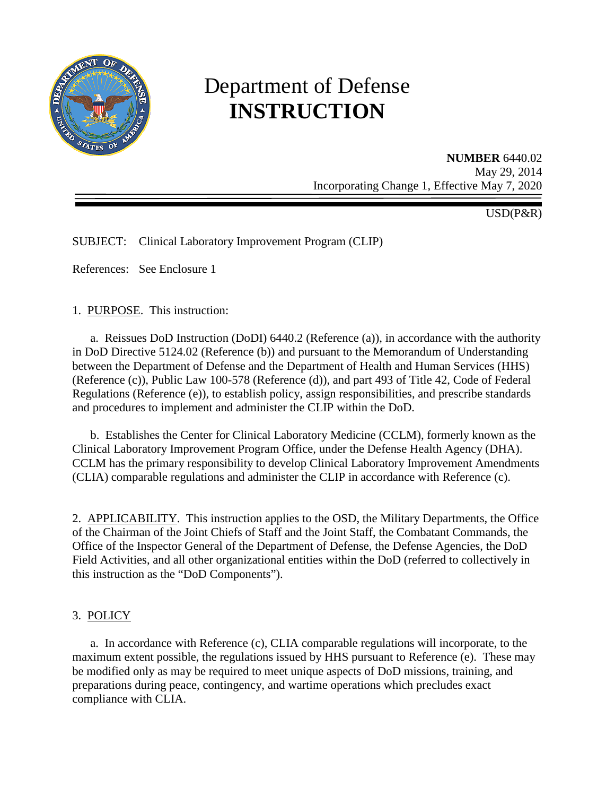

# Department of Defense **INSTRUCTION**

**NUMBER** 6440.02 May 29, 2014 Incorporating Change 1, Effective May 7, 2020

USD(P&R)

SUBJECT: Clinical Laboratory Improvement Program (CLIP)

References: See Enclosure 1

1. PURPOSE. This instruction:

a. Reissues DoD Instruction (DoDI) 6440.2 (Reference (a)), in accordance with the authority in DoD Directive 5124.02 (Reference (b)) and pursuant to the Memorandum of Understanding between the Department of Defense and the Department of Health and Human Services (HHS) (Reference (c)), Public Law 100-578 (Reference (d)), and part 493 of Title 42, Code of Federal Regulations (Reference (e)), to establish policy, assign responsibilities, and prescribe standards and procedures to implement and administer the CLIP within the DoD.

b. Establishes the Center for Clinical Laboratory Medicine (CCLM), formerly known as the Clinical Laboratory Improvement Program Office, under the Defense Health Agency (DHA). CCLM has the primary responsibility to develop Clinical Laboratory Improvement Amendments (CLIA) comparable regulations and administer the CLIP in accordance with Reference (c).

2. APPLICABILITY. This instruction applies to the OSD, the Military Departments, the Office of the Chairman of the Joint Chiefs of Staff and the Joint Staff, the Combatant Commands, the Office of the Inspector General of the Department of Defense, the Defense Agencies, the DoD Field Activities, and all other organizational entities within the DoD (referred to collectively in this instruction as the "DoD Components").

#### 3. POLICY

a. In accordance with Reference (c), CLIA comparable regulations will incorporate, to the maximum extent possible, the regulations issued by HHS pursuant to Reference (e). These may be modified only as may be required to meet unique aspects of DoD missions, training, and preparations during peace, contingency, and wartime operations which precludes exact compliance with CLIA.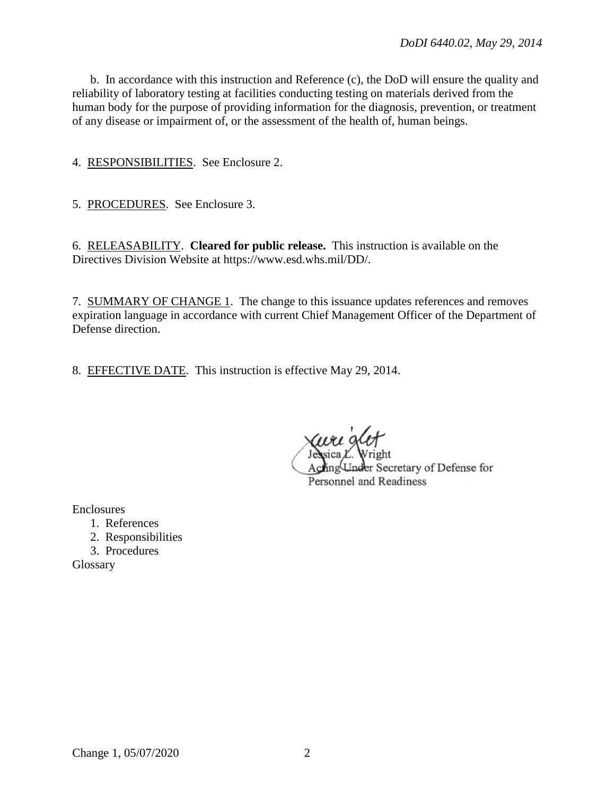b. In accordance with this instruction and Reference (c), the DoD will ensure the quality and reliability of laboratory testing at facilities conducting testing on materials derived from the human body for the purpose of providing information for the diagnosis, prevention, or treatment of any disease or impairment of, or the assessment of the health of, human beings.

4. RESPONSIBILITIES. See Enclosure 2.

5. PROCEDURES. See Enclosure 3.

6. RELEASABILITY. **Cleared for public release.** This instruction is available on the Directives Division Website at https://www.esd.whs.mil/DD/.

7. SUMMARY OF CHANGE 1. The change to this issuance updates references and removes expiration language in accordance with current Chief Management Officer of the Department of Defense direction.

8. EFFECTIVE DATE. This instruction is effective May 29, 2014.

uri det Acting Under Secretary of Defense for Personnel and Readiness

Enclosures

- 1. References
- 2. Responsibilities
- 3. Procedures

Glossary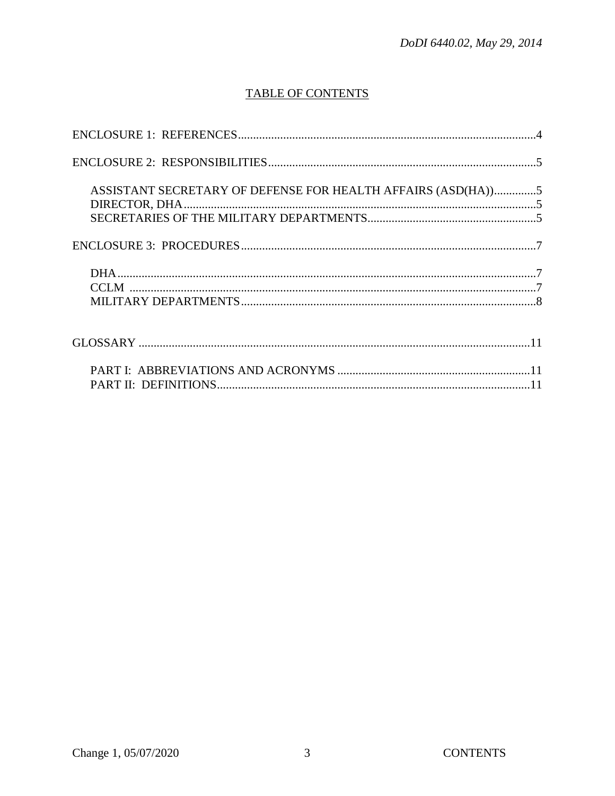## TABLE OF CONTENTS

| ASSISTANT SECRETARY OF DEFENSE FOR HEALTH AFFAIRS (ASD(HA))5 |
|--------------------------------------------------------------|
|                                                              |
|                                                              |
|                                                              |
|                                                              |
|                                                              |
|                                                              |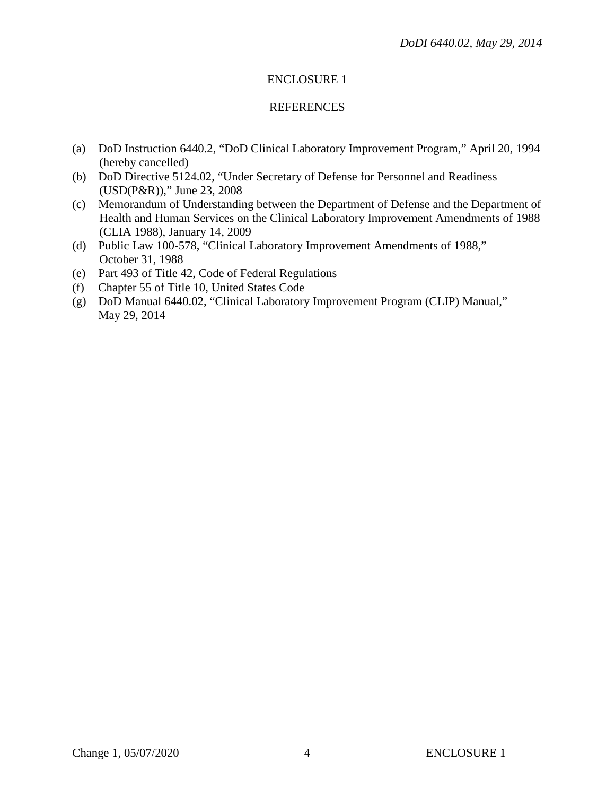## ENCLOSURE 1

## REFERENCES

- (a) DoD Instruction 6440.2, "DoD Clinical Laboratory Improvement Program," April 20, 1994 (hereby cancelled)
- (b) DoD Directive 5124.02, "Under Secretary of Defense for Personnel and Readiness (USD(P&R))," June 23, 2008
- (c) Memorandum of Understanding between the Department of Defense and the Department of Health and Human Services on the Clinical Laboratory Improvement Amendments of 1988 (CLIA 1988), January 14, 2009
- (d) Public Law 100-578, "Clinical Laboratory Improvement Amendments of 1988," October 31, 1988
- (e) Part 493 of Title 42, Code of Federal Regulations
- (f) Chapter 55 of Title 10, United States Code
- (g) DoD Manual 6440.02, "Clinical Laboratory Improvement Program (CLIP) Manual," May 29, 2014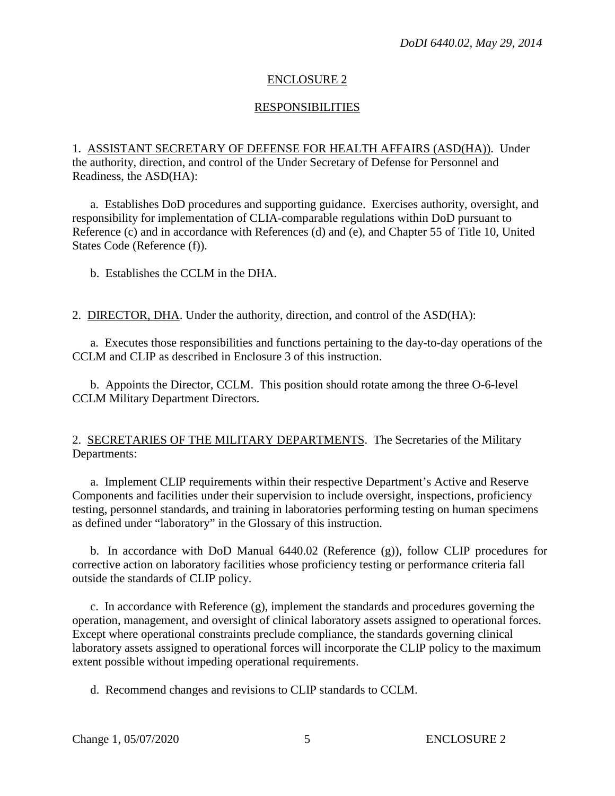## ENCLOSURE 2

## **RESPONSIBILITIES**

1. ASSISTANT SECRETARY OF DEFENSE FOR HEALTH AFFAIRS (ASD(HA)). Under the authority, direction, and control of the Under Secretary of Defense for Personnel and Readiness, the ASD(HA):

a. Establishes DoD procedures and supporting guidance. Exercises authority, oversight, and responsibility for implementation of CLIA-comparable regulations within DoD pursuant to Reference (c) and in accordance with References (d) and (e), and Chapter 55 of Title 10, United States Code (Reference (f)).

b. Establishes the CCLM in the DHA.

2. DIRECTOR, DHA. Under the authority, direction, and control of the ASD(HA):

a. Executes those responsibilities and functions pertaining to the day-to-day operations of the CCLM and CLIP as described in Enclosure 3 of this instruction.

b. Appoints the Director, CCLM. This position should rotate among the three O-6-level CCLM Military Department Directors.

#### 2. SECRETARIES OF THE MILITARY DEPARTMENTS. The Secretaries of the Military Departments:

a. Implement CLIP requirements within their respective Department's Active and Reserve Components and facilities under their supervision to include oversight, inspections, proficiency testing, personnel standards, and training in laboratories performing testing on human specimens as defined under "laboratory" in the Glossary of this instruction.

b. In accordance with DoD Manual 6440.02 (Reference (g)), follow CLIP procedures for corrective action on laboratory facilities whose proficiency testing or performance criteria fall outside the standards of CLIP policy.

c. In accordance with Reference (g), implement the standards and procedures governing the operation, management, and oversight of clinical laboratory assets assigned to operational forces. Except where operational constraints preclude compliance, the standards governing clinical laboratory assets assigned to operational forces will incorporate the CLIP policy to the maximum extent possible without impeding operational requirements.

d. Recommend changes and revisions to CLIP standards to CCLM.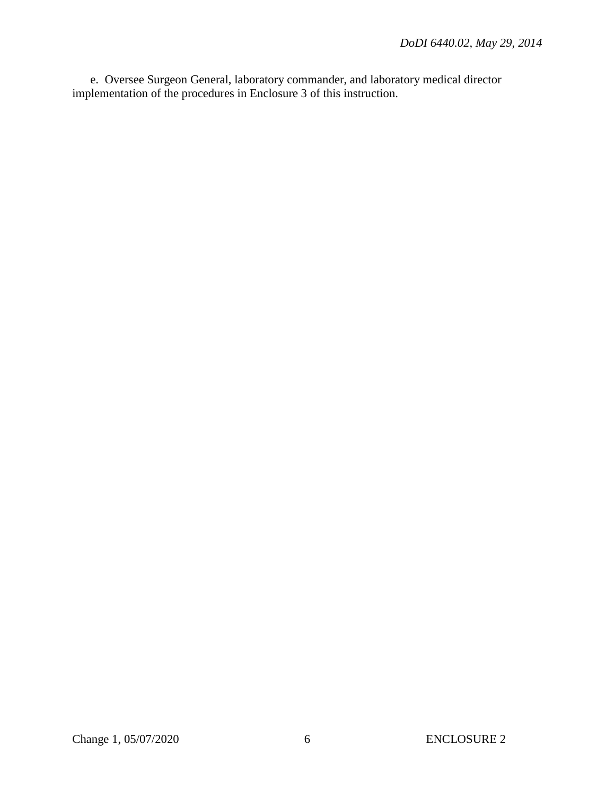e. Oversee Surgeon General, laboratory commander, and laboratory medical director implementation of the procedures in Enclosure 3 of this instruction.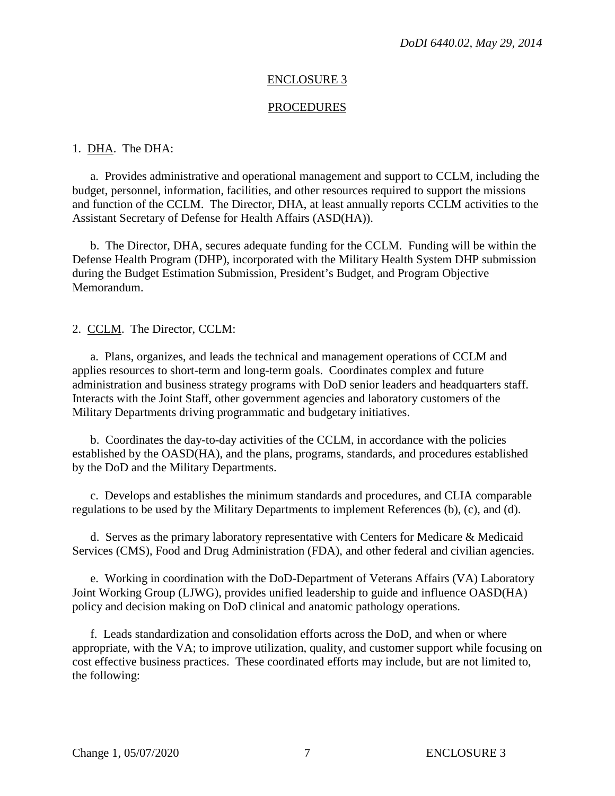#### ENCLOSURE 3

#### **PROCEDURES**

#### 1. DHA. The DHA:

a. Provides administrative and operational management and support to CCLM, including the budget, personnel, information, facilities, and other resources required to support the missions and function of the CCLM. The Director, DHA, at least annually reports CCLM activities to the Assistant Secretary of Defense for Health Affairs (ASD(HA)).

b. The Director, DHA, secures adequate funding for the CCLM. Funding will be within the Defense Health Program (DHP), incorporated with the Military Health System DHP submission during the Budget Estimation Submission, President's Budget, and Program Objective Memorandum.

2. CCLM. The Director, CCLM:

a. Plans, organizes, and leads the technical and management operations of CCLM and applies resources to short-term and long-term goals. Coordinates complex and future administration and business strategy programs with DoD senior leaders and headquarters staff. Interacts with the Joint Staff, other government agencies and laboratory customers of the Military Departments driving programmatic and budgetary initiatives.

b. Coordinates the day-to-day activities of the CCLM, in accordance with the policies established by the OASD(HA), and the plans, programs, standards, and procedures established by the DoD and the Military Departments.

c. Develops and establishes the minimum standards and procedures, and CLIA comparable regulations to be used by the Military Departments to implement References (b), (c), and (d).

d. Serves as the primary laboratory representative with Centers for Medicare & Medicaid Services (CMS), Food and Drug Administration (FDA), and other federal and civilian agencies.

e. Working in coordination with the DoD-Department of Veterans Affairs (VA) Laboratory Joint Working Group (LJWG), provides unified leadership to guide and influence OASD(HA) policy and decision making on DoD clinical and anatomic pathology operations.

f. Leads standardization and consolidation efforts across the DoD, and when or where appropriate, with the VA; to improve utilization, quality, and customer support while focusing on cost effective business practices. These coordinated efforts may include, but are not limited to, the following: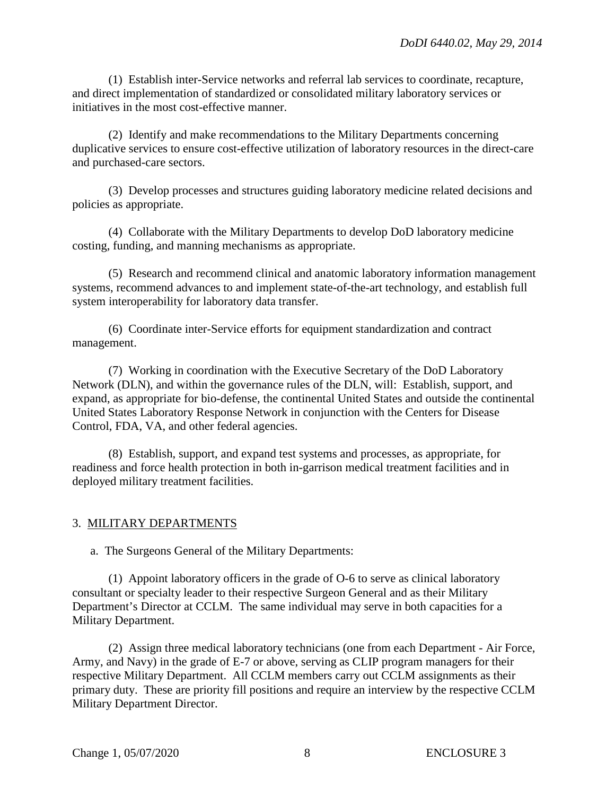(1) Establish inter-Service networks and referral lab services to coordinate, recapture, and direct implementation of standardized or consolidated military laboratory services or initiatives in the most cost-effective manner.

(2) Identify and make recommendations to the Military Departments concerning duplicative services to ensure cost-effective utilization of laboratory resources in the direct-care and purchased-care sectors.

(3) Develop processes and structures guiding laboratory medicine related decisions and policies as appropriate.

(4) Collaborate with the Military Departments to develop DoD laboratory medicine costing, funding, and manning mechanisms as appropriate.

(5) Research and recommend clinical and anatomic laboratory information management systems, recommend advances to and implement state-of-the-art technology, and establish full system interoperability for laboratory data transfer.

(6) Coordinate inter-Service efforts for equipment standardization and contract management.

(7) Working in coordination with the Executive Secretary of the DoD Laboratory Network (DLN), and within the governance rules of the DLN, will: Establish, support, and expand, as appropriate for bio-defense, the continental United States and outside the continental United States Laboratory Response Network in conjunction with the Centers for Disease Control, FDA, VA, and other federal agencies.

(8) Establish, support, and expand test systems and processes, as appropriate, for readiness and force health protection in both in-garrison medical treatment facilities and in deployed military treatment facilities.

### 3. MILITARY DEPARTMENTS

a. The Surgeons General of the Military Departments:

(1) Appoint laboratory officers in the grade of O-6 to serve as clinical laboratory consultant or specialty leader to their respective Surgeon General and as their Military Department's Director at CCLM. The same individual may serve in both capacities for a Military Department.

(2) Assign three medical laboratory technicians (one from each Department - Air Force, Army, and Navy) in the grade of E-7 or above, serving as CLIP program managers for their respective Military Department. All CCLM members carry out CCLM assignments as their primary duty. These are priority fill positions and require an interview by the respective CCLM Military Department Director.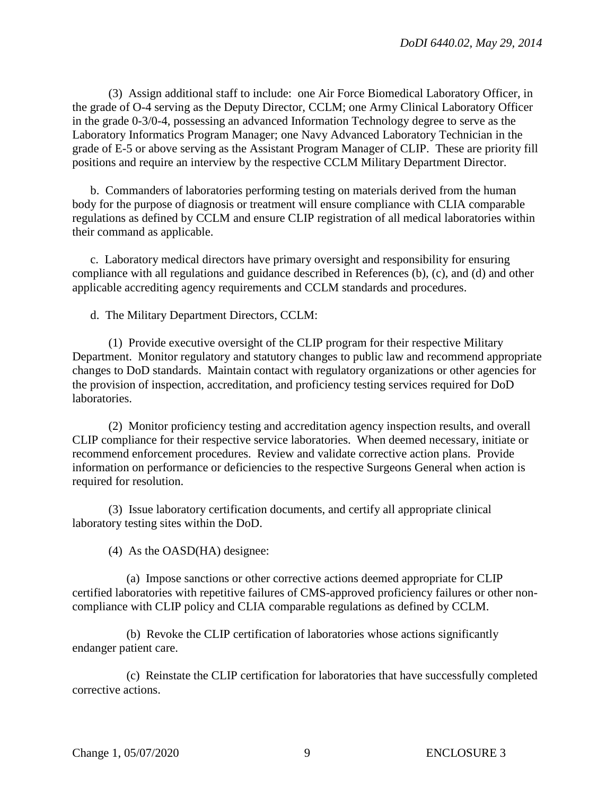(3) Assign additional staff to include: one Air Force Biomedical Laboratory Officer, in the grade of O-4 serving as the Deputy Director, CCLM; one Army Clinical Laboratory Officer in the grade 0-3/0-4, possessing an advanced Information Technology degree to serve as the Laboratory Informatics Program Manager; one Navy Advanced Laboratory Technician in the grade of E-5 or above serving as the Assistant Program Manager of CLIP. These are priority fill positions and require an interview by the respective CCLM Military Department Director.

b. Commanders of laboratories performing testing on materials derived from the human body for the purpose of diagnosis or treatment will ensure compliance with CLIA comparable regulations as defined by CCLM and ensure CLIP registration of all medical laboratories within their command as applicable.

c. Laboratory medical directors have primary oversight and responsibility for ensuring compliance with all regulations and guidance described in References (b), (c), and (d) and other applicable accrediting agency requirements and CCLM standards and procedures.

d. The Military Department Directors, CCLM:

(1) Provide executive oversight of the CLIP program for their respective Military Department. Monitor regulatory and statutory changes to public law and recommend appropriate changes to DoD standards. Maintain contact with regulatory organizations or other agencies for the provision of inspection, accreditation, and proficiency testing services required for DoD laboratories.

(2) Monitor proficiency testing and accreditation agency inspection results, and overall CLIP compliance for their respective service laboratories. When deemed necessary, initiate or recommend enforcement procedures. Review and validate corrective action plans. Provide information on performance or deficiencies to the respective Surgeons General when action is required for resolution.

(3) Issue laboratory certification documents, and certify all appropriate clinical laboratory testing sites within the DoD.

(4) As the OASD(HA) designee:

(a) Impose sanctions or other corrective actions deemed appropriate for CLIP certified laboratories with repetitive failures of CMS-approved proficiency failures or other noncompliance with CLIP policy and CLIA comparable regulations as defined by CCLM.

(b) Revoke the CLIP certification of laboratories whose actions significantly endanger patient care.

(c) Reinstate the CLIP certification for laboratories that have successfully completed corrective actions.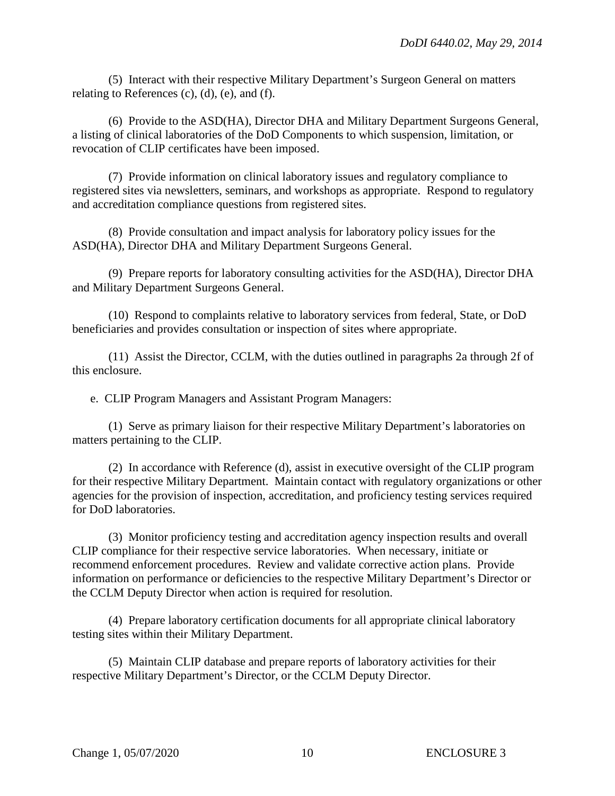(5) Interact with their respective Military Department's Surgeon General on matters relating to References (c), (d), (e), and (f).

(6) Provide to the ASD(HA), Director DHA and Military Department Surgeons General, a listing of clinical laboratories of the DoD Components to which suspension, limitation, or revocation of CLIP certificates have been imposed.

(7) Provide information on clinical laboratory issues and regulatory compliance to registered sites via newsletters, seminars, and workshops as appropriate. Respond to regulatory and accreditation compliance questions from registered sites.

(8) Provide consultation and impact analysis for laboratory policy issues for the ASD(HA), Director DHA and Military Department Surgeons General.

(9) Prepare reports for laboratory consulting activities for the ASD(HA), Director DHA and Military Department Surgeons General.

(10) Respond to complaints relative to laboratory services from federal, State, or DoD beneficiaries and provides consultation or inspection of sites where appropriate.

(11) Assist the Director, CCLM, with the duties outlined in paragraphs 2a through 2f of this enclosure.

e. CLIP Program Managers and Assistant Program Managers:

(1) Serve as primary liaison for their respective Military Department's laboratories on matters pertaining to the CLIP.

(2) In accordance with Reference (d), assist in executive oversight of the CLIP program for their respective Military Department. Maintain contact with regulatory organizations or other agencies for the provision of inspection, accreditation, and proficiency testing services required for DoD laboratories.

(3) Monitor proficiency testing and accreditation agency inspection results and overall CLIP compliance for their respective service laboratories. When necessary, initiate or recommend enforcement procedures. Review and validate corrective action plans. Provide information on performance or deficiencies to the respective Military Department's Director or the CCLM Deputy Director when action is required for resolution.

(4) Prepare laboratory certification documents for all appropriate clinical laboratory testing sites within their Military Department.

(5) Maintain CLIP database and prepare reports of laboratory activities for their respective Military Department's Director, or the CCLM Deputy Director.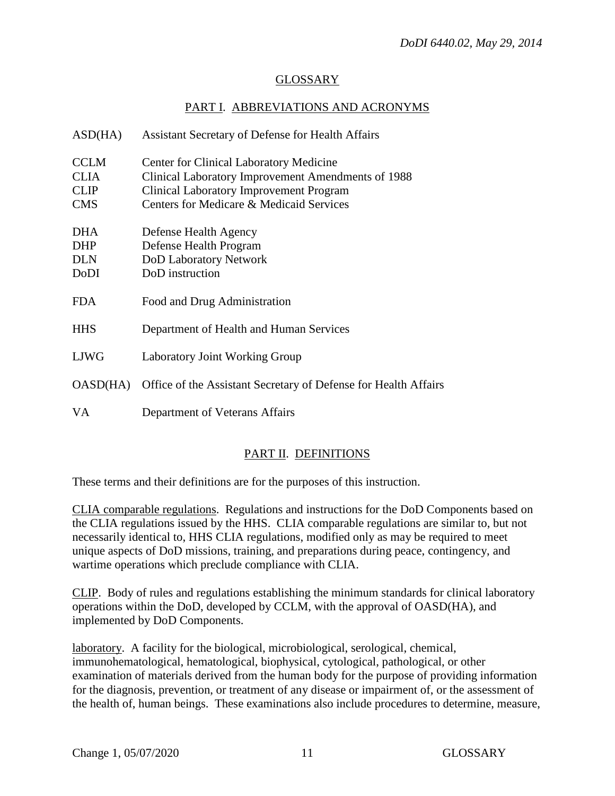## GLOSSARY

## PART I. ABBREVIATIONS AND ACRONYMS

| ASD(HA)     | Assistant Secretary of Defense for Health Affairs               |
|-------------|-----------------------------------------------------------------|
| <b>CCLM</b> | <b>Center for Clinical Laboratory Medicine</b>                  |
| <b>CLIA</b> | Clinical Laboratory Improvement Amendments of 1988              |
| <b>CLIP</b> | <b>Clinical Laboratory Improvement Program</b>                  |
| <b>CMS</b>  | Centers for Medicare & Medicaid Services                        |
| DHA<br>DHP  | Defense Health Agency<br>Defense Health Program                 |
| <b>DLN</b>  | DoD Laboratory Network                                          |
| DoDI        | DoD instruction                                                 |
| FDA.        | Food and Drug Administration                                    |
| <b>HHS</b>  | Department of Health and Human Services                         |
| <b>LJWG</b> | <b>Laboratory Joint Working Group</b>                           |
| OASD(HA)    | Office of the Assistant Secretary of Defense for Health Affairs |
| VA          | Department of Veterans Affairs                                  |

## PART II. DEFINITIONS

These terms and their definitions are for the purposes of this instruction.

CLIA comparable regulations. Regulations and instructions for the DoD Components based on the CLIA regulations issued by the HHS. CLIA comparable regulations are similar to, but not necessarily identical to, HHS CLIA regulations, modified only as may be required to meet unique aspects of DoD missions, training, and preparations during peace, contingency, and wartime operations which preclude compliance with CLIA.

CLIP. Body of rules and regulations establishing the minimum standards for clinical laboratory operations within the DoD, developed by CCLM, with the approval of OASD(HA), and implemented by DoD Components.

laboratory. A facility for the biological, microbiological, serological, chemical, immunohematological, hematological, biophysical, cytological, pathological, or other examination of materials derived from the human body for the purpose of providing information for the diagnosis, prevention, or treatment of any disease or impairment of, or the assessment of the health of, human beings. These examinations also include procedures to determine, measure,